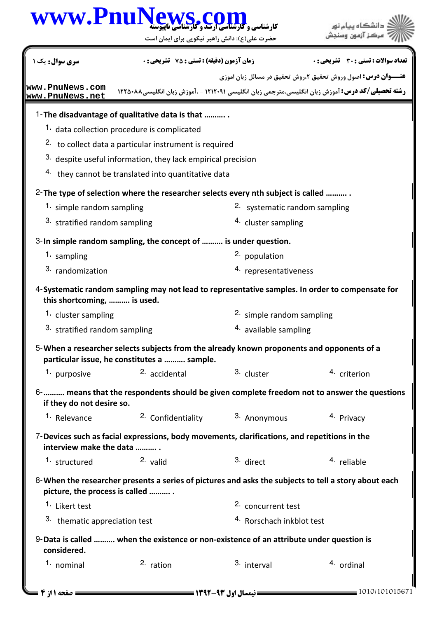|                                    | www.PnuNews.c<br>حضرت علی(ع): دانش راهبر نیکویی برای ایمان است                                                                           |                                                       | دانشگاه بیام نو<br>ِ مرڪز آزمون وس                                                                        |
|------------------------------------|------------------------------------------------------------------------------------------------------------------------------------------|-------------------------------------------------------|-----------------------------------------------------------------------------------------------------------|
| سری سوال: یک ۱                     | <b>زمان آزمون (دقیقه) : تستی : 75 تشریحی : 0</b>                                                                                         |                                                       | تعداد سوالات : تستي : 30 ٪ تشريحي : 0                                                                     |
|                                    |                                                                                                                                          |                                                       | <b>عنـــوان درس:</b> اصول وروش تحقیق ۲،روش تحقیق در مسائل زبان اموزی                                      |
| www.PnuNews.com<br>www.PnuNews.net |                                                                                                                                          |                                                       | <b>رشته تحصیلی/کد درس:</b> آموزش زبان انگلیسی،مترجمی زبان انگلیسی ۱۲۱۲۰۹۱ - ،آموزش زبان انگلیسی۸۸۰۸۸ ۱۲۲۵ |
|                                    | 1-The disadvantage of qualitative data is that                                                                                           |                                                       |                                                                                                           |
|                                    | 1. data collection procedure is complicated                                                                                              |                                                       |                                                                                                           |
|                                    | 2. to collect data a particular instrument is required                                                                                   |                                                       |                                                                                                           |
|                                    | 3. despite useful information, they lack empirical precision                                                                             |                                                       |                                                                                                           |
|                                    | 4. they cannot be translated into quantitative data                                                                                      |                                                       |                                                                                                           |
|                                    | 2- The type of selection where the researcher selects every nth subject is called                                                        |                                                       |                                                                                                           |
| 1. simple random sampling          |                                                                                                                                          | 2. systematic random sampling                         |                                                                                                           |
| 3. stratified random sampling      |                                                                                                                                          | <sup>4.</sup> cluster sampling                        |                                                                                                           |
|                                    | 3-In simple random sampling, the concept of  is under question.                                                                          |                                                       |                                                                                                           |
| 1. sampling                        |                                                                                                                                          | 2. population                                         |                                                                                                           |
| 3. randomization                   |                                                                                                                                          | 4. representativeness                                 |                                                                                                           |
| this shortcoming,  is used.        | 4-Systematic random sampling may not lead to representative samples. In order to compensate for                                          |                                                       |                                                                                                           |
| 1. cluster sampling                |                                                                                                                                          | 2. simple random sampling                             |                                                                                                           |
| 3. stratified random sampling      |                                                                                                                                          | 4. available sampling                                 |                                                                                                           |
|                                    | 5-When a researcher selects subjects from the already known proponents and opponents of a<br>particular issue, he constitutes a  sample. |                                                       |                                                                                                           |
| 1. purposive                       | $2.$ accidental                                                                                                                          | 3. cluster                                            | 4. criterion                                                                                              |
| if they do not desire so.          |                                                                                                                                          |                                                       | 6-   means that the respondents should be given complete freedom not to answer the questions              |
| 1. Relevance                       |                                                                                                                                          | <sup>2.</sup> Confidentiality <sup>3.</sup> Anonymous | 4. Privacy                                                                                                |
| interview make the data            | $7$ -Devices such as facial expressions, body movements, clarifications, and repetitions in the                                          |                                                       |                                                                                                           |
| 1. structured                      | $2.$ valid                                                                                                                               | 3. direct                                             | 4. reliable                                                                                               |
| picture, the process is called     | 8-When the researcher presents a series of pictures and asks the subjects to tell a story about each                                     |                                                       |                                                                                                           |
| <sup>1.</sup> Likert test          |                                                                                                                                          | 2. concurrent test                                    |                                                                                                           |
| 3. thematic appreciation test      |                                                                                                                                          | 4. Rorschach inkblot test                             |                                                                                                           |
| considered.                        | 9-Data is called  when the existence or non-existence of an attribute under question is                                                  |                                                       |                                                                                                           |
| 1. nominal                         | $2.$ ration                                                                                                                              | 3. interval                                           | 4. ordinal                                                                                                |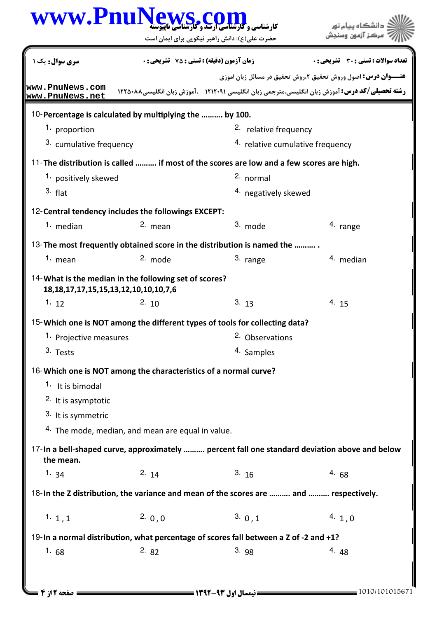| www.PnuNews.c                                                                                             |                                                              | حضرت علی(ع): دانش راهبر نیکویی برای ایمان است                                           | دانشگاه ىيام نور<br>مرڪز آزمون وه                                                                         |  |
|-----------------------------------------------------------------------------------------------------------|--------------------------------------------------------------|-----------------------------------------------------------------------------------------|-----------------------------------------------------------------------------------------------------------|--|
| <b>سری سوال :</b> یک ۱                                                                                    | زمان آزمون (دقیقه) : تستی : 75 ٪ تشریحی : 0                  |                                                                                         | تعداد سوالات : تستي : 30 ٪ تشريحي : 0                                                                     |  |
|                                                                                                           |                                                              |                                                                                         | <b>عنـــوان درس:</b> اصول وروش تحقیق ۲،روش تحقیق در مسائل زبان اموزی                                      |  |
| www.PnuNews.com<br>www.PnuNews.net                                                                        |                                                              |                                                                                         | <b>رشته تحصیلی/کد درس:</b> آموزش زبان انگلیسی،مترجمی زبان انگلیسی ۱۲۱۲۰۹۱ - ،آموزش زبان انگلیسی۸۸۰۸۸ ۱۲۲۵ |  |
| 10-Percentage is calculated by multiplying the  by 100.                                                   |                                                              |                                                                                         |                                                                                                           |  |
| 1. proportion                                                                                             |                                                              | 2. relative frequency                                                                   |                                                                                                           |  |
| 3. cumulative frequency                                                                                   |                                                              | <sup>4.</sup> relative cumulative frequency                                             |                                                                                                           |  |
|                                                                                                           |                                                              | 11-The distribution is called  if most of the scores are low and a few scores are high. |                                                                                                           |  |
| 1. positively skewed                                                                                      |                                                              | 2. normal                                                                               |                                                                                                           |  |
| $3.$ flat                                                                                                 |                                                              | 4. negatively skewed                                                                    |                                                                                                           |  |
| 12-Central tendency includes the followings EXCEPT:                                                       |                                                              |                                                                                         |                                                                                                           |  |
| 1. median                                                                                                 | 2. mean                                                      | 3. mode                                                                                 | 4. range                                                                                                  |  |
|                                                                                                           |                                                              | 13-The most frequently obtained score in the distribution is named the                  |                                                                                                           |  |
| 1. $mean$                                                                                                 | $2.$ mode                                                    | 3. range                                                                                | 4. median                                                                                                 |  |
| 14-What is the median in the following set of scores?<br>18, 18, 17, 17, 15, 15, 13, 12, 10, 10, 10, 7, 6 |                                                              |                                                                                         |                                                                                                           |  |
| 1.12                                                                                                      | 2.10                                                         | 3.13                                                                                    | 4.15                                                                                                      |  |
|                                                                                                           |                                                              | 15- Which one is NOT among the different types of tools for collecting data?            |                                                                                                           |  |
| <sup>1</sup> Projective measures                                                                          |                                                              | <sup>2.</sup> Observations                                                              |                                                                                                           |  |
| 3. Tests                                                                                                  |                                                              | 4. Samples                                                                              |                                                                                                           |  |
| 16-Which one is NOT among the characteristics of a normal curve?                                          |                                                              |                                                                                         |                                                                                                           |  |
| <sup>1</sup> It is bimodal                                                                                |                                                              |                                                                                         |                                                                                                           |  |
| 2. It is asymptotic                                                                                       |                                                              |                                                                                         |                                                                                                           |  |
| 3. It is symmetric                                                                                        |                                                              |                                                                                         |                                                                                                           |  |
|                                                                                                           | <sup>4.</sup> The mode, median, and mean are equal in value. |                                                                                         |                                                                                                           |  |
| the mean.                                                                                                 |                                                              |                                                                                         | 17-In a bell-shaped curve, approximately  percent fall one standard deviation above and below             |  |
| 1. $34$                                                                                                   | 2. $14$                                                      | 3.16                                                                                    | 4.68                                                                                                      |  |
|                                                                                                           |                                                              | 18-In the Z distribution, the variance and mean of the scores are  and  respectively.   |                                                                                                           |  |
| 1.1,1                                                                                                     | 2.0,0                                                        | 3.0,1                                                                                   | 4.1,0                                                                                                     |  |
|                                                                                                           |                                                              | 19-In a normal distribution, what percentage of scores fall between a Z of -2 and +1?   |                                                                                                           |  |
| 1. $68$                                                                                                   | 2.82                                                         | 3.98                                                                                    | 4.48                                                                                                      |  |
|                                                                                                           |                                                              |                                                                                         |                                                                                                           |  |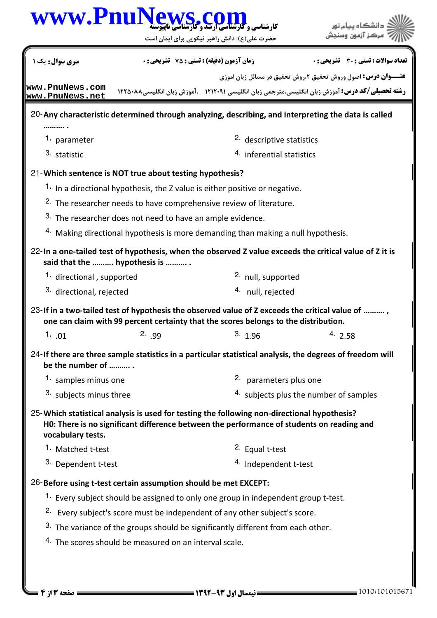|                                                                                                                  |                                                                                             | حضرت علی(ع): دانش راهبر نیکویی برای ایمان است                                         |                                                                                                           |  |
|------------------------------------------------------------------------------------------------------------------|---------------------------------------------------------------------------------------------|---------------------------------------------------------------------------------------|-----------------------------------------------------------------------------------------------------------|--|
| <b>سری سوال :</b> یک ۱                                                                                           |                                                                                             | <b>زمان آزمون (دقیقه) : تستی : 75 ٪ تشریحی : 0</b>                                    | <b>تعداد سوالات : تستی : 30 ٪ تشریحی : 0</b>                                                              |  |
|                                                                                                                  |                                                                                             |                                                                                       | <b>عنـــوان درس:</b> اصول وروش تحقیق ۲،روش تحقیق در مسائل زبان اموزی                                      |  |
| www.PnuNews.com<br>www.PnuNews.net                                                                               |                                                                                             |                                                                                       | <b>رشته تحصیلی/کد درس:</b> آموزش زبان انگلیسی،مترجمی زبان انگلیسی ۱۲۱۲۰۹۱ - ،آموزش زبان انگلیسی۱۲۲۵۰۸۸    |  |
|                                                                                                                  |                                                                                             |                                                                                       | 20-Any characteristic determined through analyzing, describing, and interpreting the data is called       |  |
| 1. parameter                                                                                                     |                                                                                             | 2. descriptive statistics                                                             |                                                                                                           |  |
| 3. statistic                                                                                                     | 4. inferential statistics                                                                   |                                                                                       |                                                                                                           |  |
| 21-Which sentence is NOT true about testing hypothesis?                                                          |                                                                                             |                                                                                       |                                                                                                           |  |
|                                                                                                                  |                                                                                             | <sup>1</sup> In a directional hypothesis, the Z value is either positive or negative. |                                                                                                           |  |
|                                                                                                                  |                                                                                             | <sup>2.</sup> The researcher needs to have comprehensive review of literature.        |                                                                                                           |  |
| 3. The researcher does not need to have an ample evidence.                                                       |                                                                                             |                                                                                       |                                                                                                           |  |
|                                                                                                                  |                                                                                             | 4. Making directional hypothesis is more demanding than making a null hypothesis.     |                                                                                                           |  |
| said that the  hypothesis is                                                                                     |                                                                                             |                                                                                       | 22-In a one-tailed test of hypothesis, when the observed Z value exceeds the critical value of Z it is    |  |
| 1. directional, supported                                                                                        |                                                                                             | <sup>2.</sup> null, supported                                                         |                                                                                                           |  |
| 3. directional, rejected                                                                                         |                                                                                             | 4. null, rejected                                                                     |                                                                                                           |  |
|                                                                                                                  |                                                                                             | one can claim with 99 percent certainty that the scores belongs to the distribution.  | 23-If in a two-tailed test of hypothesis the observed value of Z exceeds the critical value of ,          |  |
| 1. $.01$                                                                                                         | 2.99                                                                                        | 3.1.96                                                                                | 4.2.58                                                                                                    |  |
| be the number of                                                                                                 |                                                                                             |                                                                                       | 24-If there are three sample statistics in a particular statistical analysis, the degrees of freedom will |  |
| 1. samples minus one                                                                                             |                                                                                             | 2. parameters plus one                                                                |                                                                                                           |  |
| 3. subjects minus three                                                                                          |                                                                                             | 4. subjects plus the number of samples                                                |                                                                                                           |  |
| 25-Which statistical analysis is used for testing the following non-directional hypothesis?<br>vocabulary tests. |                                                                                             |                                                                                       | H0: There is no significant difference between the performance of students on reading and                 |  |
| 1. Matched t-test                                                                                                |                                                                                             | 2. Equal t-test                                                                       |                                                                                                           |  |
| 3. Dependent t-test                                                                                              |                                                                                             | 4. Independent t-test                                                                 |                                                                                                           |  |
| 26-Before using t-test certain assumption should be met EXCEPT:                                                  |                                                                                             |                                                                                       |                                                                                                           |  |
|                                                                                                                  |                                                                                             | 1. Every subject should be assigned to only one group in independent group t-test.    |                                                                                                           |  |
|                                                                                                                  |                                                                                             | <sup>2.</sup> Every subject's score must be independent of any other subject's score. |                                                                                                           |  |
|                                                                                                                  | <sup>3.</sup> The variance of the groups should be significantly different from each other. |                                                                                       |                                                                                                           |  |
|                                                                                                                  |                                                                                             |                                                                                       |                                                                                                           |  |